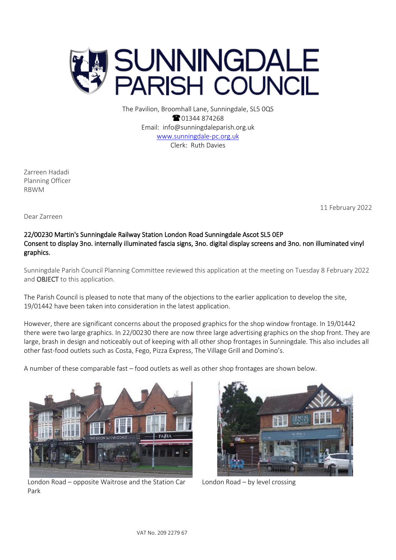

The Pavilion, Broomhall Lane, Sunningdale, SL5 0QS <sup>2</sup>01344 874268 Email: info@sunningdaleparish.org.uk [www.sunningdale-pc.org.uk](http://www.sunningdale-pc.org.uk/) Clerk: Ruth Davies

Zarreen Hadadi Planning Officer RBWM

11 February 2022

Dear Zarreen

## 22/00230 Martin's Sunningdale Railway Station London Road Sunningdale Ascot SL5 0EP Consent to display 3no. internally illuminated fascia signs, 3no. digital display screens and 3no. non illuminated vinyl graphics.

Sunningdale Parish Council Planning Committee reviewed this application at the meeting on Tuesday 8 February 2022 and OBJECT to this application.

The Parish Council is pleased to note that many of the objections to the earlier application to develop the site, 19/01442 have been taken into consideration in the latest application.

However, there are significant concerns about the proposed graphics for the shop window frontage. In 19/01442 there were two large graphics. In 22/00230 there are now three large advertising graphics on the shop front. They are large, brash in design and noticeably out of keeping with all other shop frontages in Sunningdale. This also includes all other fast-food outlets such as Costa, Fego, Pizza Express, The Village Grill and Domino's.

A number of these comparable fast – food outlets as well as other shop frontages are shown below.



London Road – opposite Waitrose and the Station Car Park



London Road – by level crossing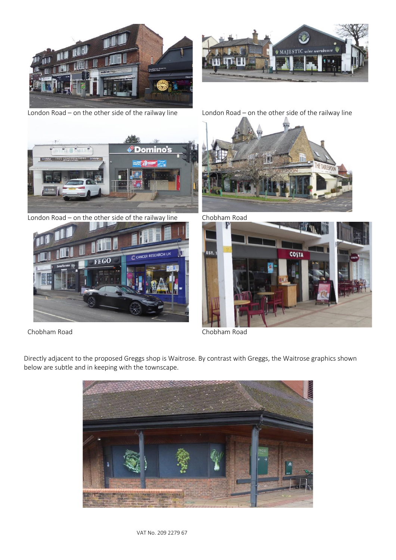



London Road – on the other side of the railway line London Road – on the other side of the railway line





London Road – on the other side of the railway line Chobham Road



Chobham Road Chobham Road





Directly adjacent to the proposed Greggs shop is Waitrose. By contrast with Greggs, the Waitrose graphics shown below are subtle and in keeping with the townscape.